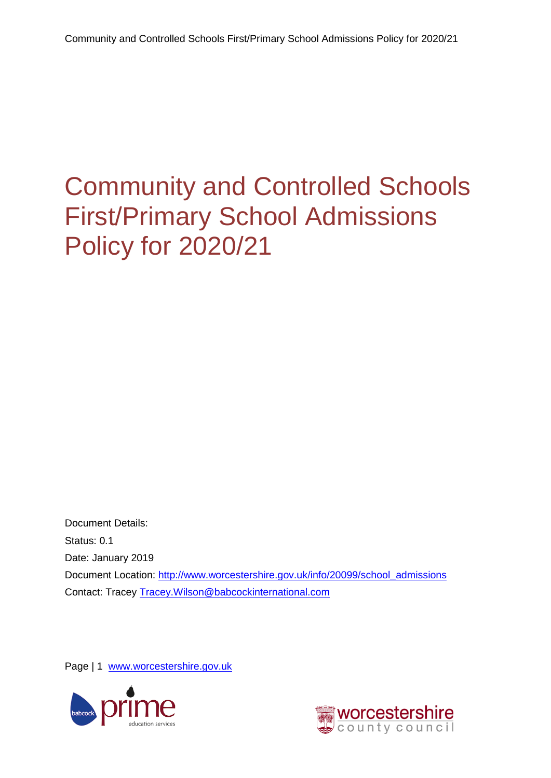<span id="page-0-0"></span>Document Details: Status: 0.1 Date: January 2019 Document Location: [http://www.worcestershire.gov.uk/info/20099/school\\_admissions](http://www.worcestershire.gov.uk/info/20099/school_admissions) Contact: Tracey [Tracey.Wilson@babcockinternational.com](mailto:Tracey.Wilson@babcockinternational.com)

Page | 1 [www.worcestershire.gov.uk](http://www.worcestershire.gov.uk/)



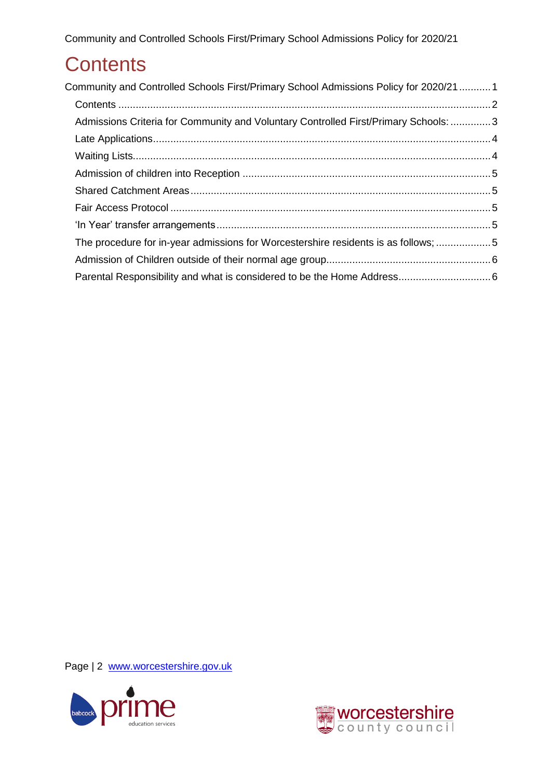# <span id="page-1-0"></span>**Contents**

| Community and Controlled Schools First/Primary School Admissions Policy for 2020/211 |  |
|--------------------------------------------------------------------------------------|--|
|                                                                                      |  |
| Admissions Criteria for Community and Voluntary Controlled First/Primary Schools: 3  |  |
|                                                                                      |  |
|                                                                                      |  |
|                                                                                      |  |
|                                                                                      |  |
|                                                                                      |  |
|                                                                                      |  |
| The procedure for in-year admissions for Worcestershire residents is as follows; 5   |  |
|                                                                                      |  |
|                                                                                      |  |

Page | 2 [www.worcestershire.gov.uk](http://www.worcestershire.gov.uk/)



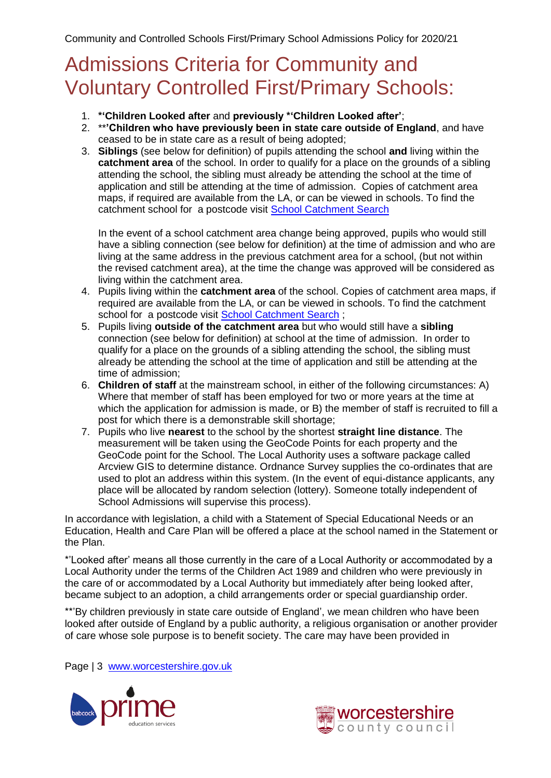## <span id="page-2-0"></span>Admissions Criteria for Community and Voluntary Controlled First/Primary Schools:

- 1. **\*'Children Looked after** and **previously \*'Children Looked after'**;
- 2. \*\***'Children who have previously been in state care outside of England**, and have ceased to be in state care as a result of being adopted;
- 3. **Siblings** (see below for definition) of pupils attending the school **and** living within the **catchment area** of the school. In order to qualify for a place on the grounds of a sibling attending the school, the sibling must already be attending the school at the time of application and still be attending at the time of admission. Copies of catchment area maps, if required are available from the LA, or can be viewed in schools. To find the catchment school for a postcode visit [School Catchment Search](http://e-services.worcestershire.gov.uk/SchoolSearch/SearchSchools.aspx?Search=Postcode)

In the event of a school catchment area change being approved, pupils who would still have a sibling connection (see below for definition) at the time of admission and who are living at the same address in the previous catchment area for a school, (but not within the revised catchment area), at the time the change was approved will be considered as living within the catchment area.

- 4. Pupils living within the **catchment area** of the school. Copies of catchment area maps, if required are available from the LA, or can be viewed in schools. To find the catchment school for a postcode visit [School Catchment Search](http://e-services.worcestershire.gov.uk/SchoolSearch/SearchSchools.aspx?Search=Postcode) ;
- 5. Pupils living **outside of the catchment area** but who would still have a **sibling** connection (see below for definition) at school at the time of admission. In order to qualify for a place on the grounds of a sibling attending the school, the sibling must already be attending the school at the time of application and still be attending at the time of admission;
- 6. **Children of staff** at the mainstream school, in either of the following circumstances: A) Where that member of staff has been employed for two or more years at the time at which the application for admission is made, or B) the member of staff is recruited to fill a post for which there is a demonstrable skill shortage;
- 7. Pupils who live **nearest** to the school by the shortest **straight line distance**. The measurement will be taken using the GeoCode Points for each property and the GeoCode point for the School. The Local Authority uses a software package called Arcview GIS to determine distance. Ordnance Survey supplies the co-ordinates that are used to plot an address within this system. (In the event of equi-distance applicants, any place will be allocated by random selection (lottery). Someone totally independent of School Admissions will supervise this process).

In accordance with legislation, a child with a Statement of Special Educational Needs or an Education, Health and Care Plan will be offered a place at the school named in the Statement or the Plan.

\*'Looked after' means all those currently in the care of a Local Authority or accommodated by a Local Authority under the terms of the Children Act 1989 and children who were previously in the care of or accommodated by a Local Authority but immediately after being looked after, became subject to an adoption, a child arrangements order or special guardianship order.

\*\*'By children previously in state care outside of England', we mean children who have been looked after outside of England by a public authority, a religious organisation or another provider of care whose sole purpose is to benefit society. The care may have been provided in

Page | 3 [www.worcestershire.gov.uk](http://www.worcestershire.gov.uk/)



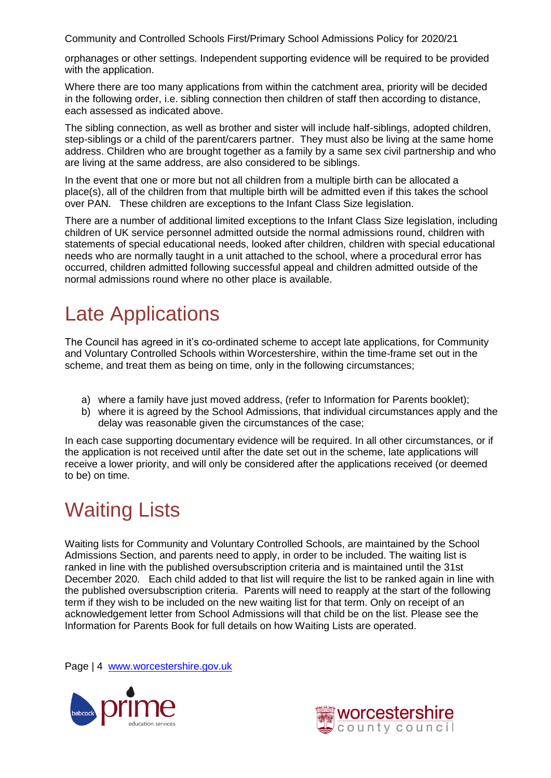orphanages or other settings. Independent supporting evidence will be required to be provided with the application.

Where there are too many applications from within the catchment area, priority will be decided in the following order, i.e. sibling connection then children of staff then according to distance, each assessed as indicated above.

The sibling connection, as well as brother and sister will include half-siblings, adopted children, step-siblings or a child of the parent/carers partner. They must also be living at the same home address. Children who are brought together as a family by a same sex civil partnership and who are living at the same address, are also considered to be siblings.

In the event that one or more but not all children from a multiple birth can be allocated a place(s), all of the children from that multiple birth will be admitted even if this takes the school over PAN. These children are exceptions to the Infant Class Size legislation.

There are a number of additional limited exceptions to the Infant Class Size legislation, including children of UK service personnel admitted outside the normal admissions round, children with statements of special educational needs, looked after children, children with special educational needs who are normally taught in a unit attached to the school, where a procedural error has occurred, children admitted following successful appeal and children admitted outside of the normal admissions round where no other place is available.

# <span id="page-3-0"></span>Late Applications

The Council has agreed in it's co-ordinated scheme to accept late applications, for Community and Voluntary Controlled Schools within Worcestershire, within the time-frame set out in the scheme, and treat them as being on time, only in the following circumstances;

- a) where a family have just moved address, (refer to Information for Parents booklet);
- b) where it is agreed by the School Admissions, that individual circumstances apply and the delay was reasonable given the circumstances of the case;

In each case supporting documentary evidence will be required. In all other circumstances, or if the application is not received until after the date set out in the scheme, late applications will receive a lower priority, and will only be considered after the applications received (or deemed to be) on time.

# <span id="page-3-1"></span>Waiting Lists

Waiting lists for Community and Voluntary Controlled Schools, are maintained by the School Admissions Section, and parents need to apply, in order to be included. The waiting list is ranked in line with the published oversubscription criteria and is maintained until the 31st December 2020. Each child added to that list will require the list to be ranked again in line with the published oversubscription criteria. Parents will need to reapply at the start of the following term if they wish to be included on the new waiting list for that term. Only on receipt of an acknowledgement letter from School Admissions will that child be on the list. Please see the Information for Parents Book for full details on how Waiting Lists are operated.

Page | 4 [www.worcestershire.gov.uk](http://www.worcestershire.gov.uk/)



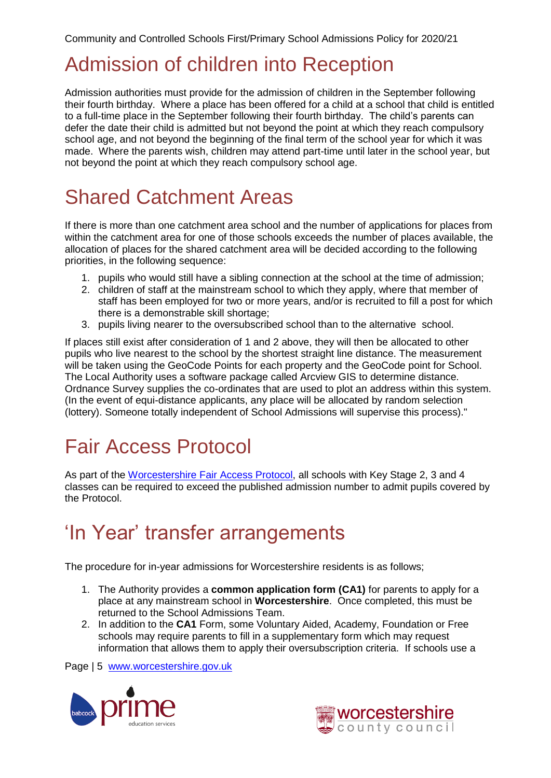# <span id="page-4-0"></span>Admission of children into Reception

Admission authorities must provide for the admission of children in the September following their fourth birthday. Where a place has been offered for a child at a school that child is entitled to a full-time place in the September following their fourth birthday. The child's parents can defer the date their child is admitted but not beyond the point at which they reach compulsory school age, and not beyond the beginning of the final term of the school year for which it was made. Where the parents wish, children may attend part-time until later in the school year, but not beyond the point at which they reach compulsory school age.

# <span id="page-4-1"></span>Shared Catchment Areas

If there is more than one catchment area school and the number of applications for places from within the catchment area for one of those schools exceeds the number of places available, the allocation of places for the shared catchment area will be decided according to the following priorities, in the following sequence:

- 1. pupils who would still have a sibling connection at the school at the time of admission;
- 2. children of staff at the mainstream school to which they apply, where that member of staff has been employed for two or more years, and/or is recruited to fill a post for which there is a demonstrable skill shortage;
- 3. pupils living nearer to the oversubscribed school than to the alternative school.

If places still exist after consideration of 1 and 2 above, they will then be allocated to other pupils who live nearest to the school by the shortest straight line distance. The measurement will be taken using the GeoCode Points for each property and the GeoCode point for School. The Local Authority uses a software package called Arcview GIS to determine distance. Ordnance Survey supplies the co-ordinates that are used to plot an address within this system. (In the event of equi-distance applicants, any place will be allocated by random selection (lottery). Someone totally independent of School Admissions will supervise this process)."

# <span id="page-4-2"></span>Fair Access Protocol

As part of the [Worcestershire Fair Access Protocol,](http://www.worcestershire.gov.uk/info/20632/school_admissions_policies_and_appeals) all schools with Key Stage 2, 3 and 4 classes can be required to exceed the published admission number to admit pupils covered by the Protocol.

### <span id="page-4-3"></span>'In Year' transfer arrangements

<span id="page-4-4"></span>The procedure for in-year admissions for Worcestershire residents is as follows;

- 1. The Authority provides a **common application form (CA1)** for parents to apply for a place at any mainstream school in **Worcestershire**. Once completed, this must be returned to the School Admissions Team.
- 2. In addition to the **CA1** Form, some Voluntary Aided, Academy, Foundation or Free schools may require parents to fill in a supplementary form which may request information that allows them to apply their oversubscription criteria. If schools use a

Page | 5 [www.worcestershire.gov.uk](http://www.worcestershire.gov.uk/)



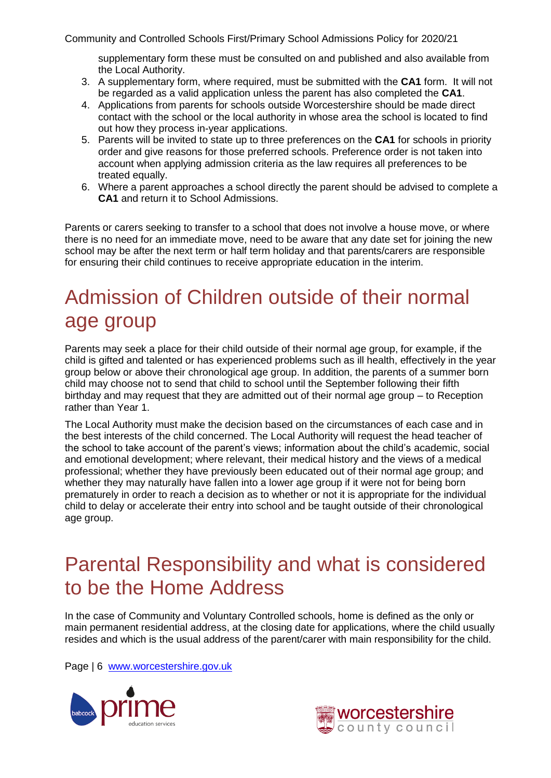supplementary form these must be consulted on and published and also available from the Local Authority.

- 3. A supplementary form, where required, must be submitted with the **CA1** form. It will not be regarded as a valid application unless the parent has also completed the **CA1**.
- 4. Applications from parents for schools outside Worcestershire should be made direct contact with the school or the local authority in whose area the school is located to find out how they process in-year applications.
- 5. Parents will be invited to state up to three preferences on the **CA1** for schools in priority order and give reasons for those preferred schools. Preference order is not taken into account when applying admission criteria as the law requires all preferences to be treated equally.
- 6. Where a parent approaches a school directly the parent should be advised to complete a **CA1** and return it to School Admissions.

Parents or carers seeking to transfer to a school that does not involve a house move, or where there is no need for an immediate move, need to be aware that any date set for joining the new school may be after the next term or half term holiday and that parents/carers are responsible for ensuring their child continues to receive appropriate education in the interim.

# <span id="page-5-0"></span>Admission of Children outside of their normal age group

Parents may seek a place for their child outside of their normal age group, for example, if the child is gifted and talented or has experienced problems such as ill health, effectively in the year group below or above their chronological age group. In addition, the parents of a summer born child may choose not to send that child to school until the September following their fifth birthday and may request that they are admitted out of their normal age group – to Reception rather than Year 1.

The Local Authority must make the decision based on the circumstances of each case and in the best interests of the child concerned. The Local Authority will request the head teacher of the school to take account of the parent's views; information about the child's academic, social and emotional development; where relevant, their medical history and the views of a medical professional; whether they have previously been educated out of their normal age group; and whether they may naturally have fallen into a lower age group if it were not for being born prematurely in order to reach a decision as to whether or not it is appropriate for the individual child to delay or accelerate their entry into school and be taught outside of their chronological age group.

# <span id="page-5-1"></span>Parental Responsibility and what is considered to be the Home Address

In the case of Community and Voluntary Controlled schools, home is defined as the only or main permanent residential address, at the closing date for applications, where the child usually resides and which is the usual address of the parent/carer with main responsibility for the child.

Page | 6 [www.worcestershire.gov.uk](http://www.worcestershire.gov.uk/)



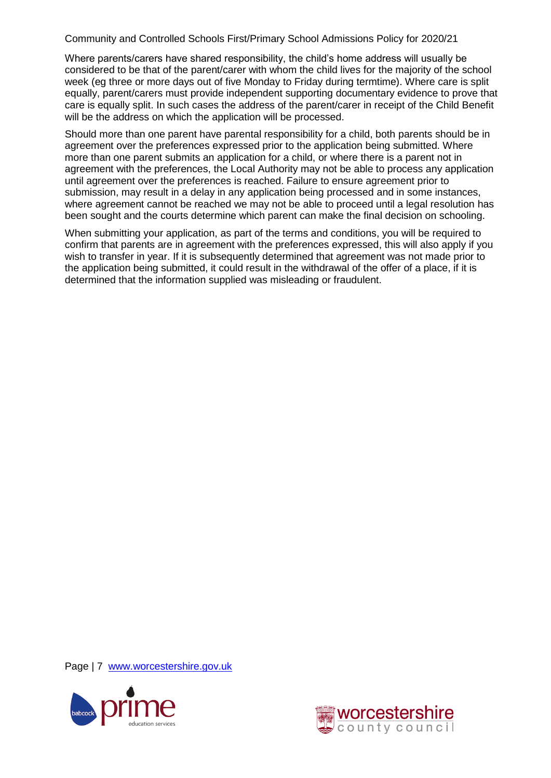Where parents/carers have shared responsibility, the child's home address will usually be considered to be that of the parent/carer with whom the child lives for the majority of the school week (eg three or more days out of five Monday to Friday during termtime). Where care is split equally, parent/carers must provide independent supporting documentary evidence to prove that care is equally split. In such cases the address of the parent/carer in receipt of the Child Benefit will be the address on which the application will be processed.

Should more than one parent have parental responsibility for a child, both parents should be in agreement over the preferences expressed prior to the application being submitted. Where more than one parent submits an application for a child, or where there is a parent not in agreement with the preferences, the Local Authority may not be able to process any application until agreement over the preferences is reached. Failure to ensure agreement prior to submission, may result in a delay in any application being processed and in some instances, where agreement cannot be reached we may not be able to proceed until a legal resolution has been sought and the courts determine which parent can make the final decision on schooling.

When submitting your application, as part of the terms and conditions, you will be required to confirm that parents are in agreement with the preferences expressed, this will also apply if you wish to transfer in year. If it is subsequently determined that agreement was not made prior to the application being submitted, it could result in the withdrawal of the offer of a place, if it is determined that the information supplied was misleading or fraudulent.

Page | 7 [www.worcestershire.gov.uk](http://www.worcestershire.gov.uk/)